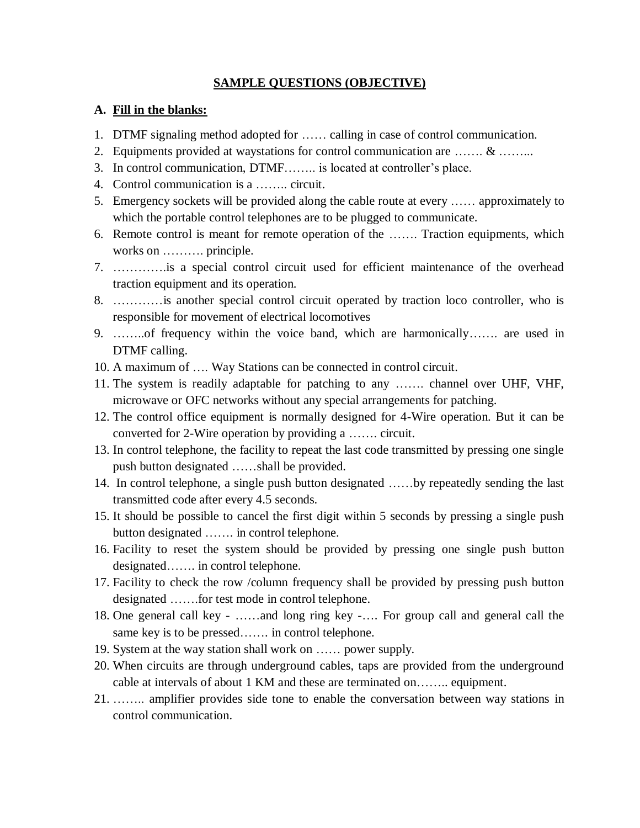#### **SAMPLE QUESTIONS (OBJECTIVE)**

#### **A. Fill in the blanks:**

- 1. DTMF signaling method adopted for …… calling in case of control communication.
- 2. Equipments provided at waystations for control communication are ……. & ……...
- 3. In control communication, DTMF…….. is located at controller's place.
- 4. Control communication is a …….. circuit.
- 5. Emergency sockets will be provided along the cable route at every …… approximately to which the portable control telephones are to be plugged to communicate.
- 6. Remote control is meant for remote operation of the ……. Traction equipments, which works on ………. principle.
- 7. ………….is a special control circuit used for efficient maintenance of the overhead traction equipment and its operation.
- 8. …………is another special control circuit operated by traction loco controller, who is responsible for movement of electrical locomotives
- 9. ……..of frequency within the voice band, which are harmonically……. are used in DTMF calling.
- 10. A maximum of …. Way Stations can be connected in control circuit.
- 11. The system is readily adaptable for patching to any ……. channel over UHF, VHF, microwave or OFC networks without any special arrangements for patching.
- 12. The control office equipment is normally designed for 4-Wire operation. But it can be converted for 2-Wire operation by providing a ……. circuit.
- 13. In control telephone, the facility to repeat the last code transmitted by pressing one single push button designated ……shall be provided.
- 14. In control telephone, a single push button designated ……by repeatedly sending the last transmitted code after every 4.5 seconds.
- 15. It should be possible to cancel the first digit within 5 seconds by pressing a single push button designated ……. in control telephone.
- 16. Facility to reset the system should be provided by pressing one single push button designated……. in control telephone.
- 17. Facility to check the row /column frequency shall be provided by pressing push button designated …….for test mode in control telephone.
- 18. One general call key ……and long ring key -…. For group call and general call the same key is to be pressed……. in control telephone.
- 19. System at the way station shall work on …… power supply.
- 20. When circuits are through underground cables, taps are provided from the underground cable at intervals of about 1 KM and these are terminated on…….. equipment.
- 21. …….. amplifier provides side tone to enable the conversation between way stations in control communication.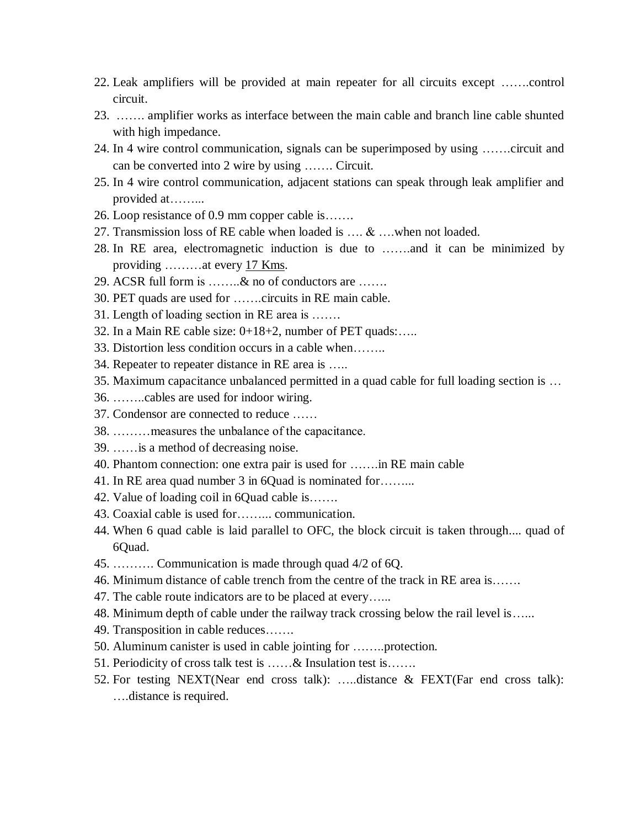- 22. Leak amplifiers will be provided at main repeater for all circuits except …….control circuit.
- 23. ……. amplifier works as interface between the main cable and branch line cable shunted with high impedance.
- 24. In 4 wire control communication, signals can be superimposed by using …….circuit and can be converted into 2 wire by using ……. Circuit.
- 25. In 4 wire control communication, adjacent stations can speak through leak amplifier and provided at……...
- 26. Loop resistance of 0.9 mm copper cable is…….
- 27. Transmission loss of RE cable when loaded is …. & ….when not loaded.
- 28. In RE area, electromagnetic induction is due to …….and it can be minimized by providing ........at every 17 Kms.
- 29. ACSR full form is ……..& no of conductors are …….
- 30. PET quads are used for …….circuits in RE main cable.
- 31. Length of loading section in RE area is …….
- 32. In a Main RE cable size: 0+18+2, number of PET quads:…..
- 33. Distortion less condition occurs in a cable when……..
- 34. Repeater to repeater distance in RE area is …..
- 35. Maximum capacitance unbalanced permitted in a quad cable for full loading section is …
- 36. ……..cables are used for indoor wiring.
- 37. Condensor are connected to reduce ……
- 38. ………measures the unbalance of the capacitance.
- 39. ……is a method of decreasing noise.
- 40. Phantom connection: one extra pair is used for …….in RE main cable
- 41. In RE area quad number 3 in 6Quad is nominated for……...
- 42. Value of loading coil in 6Quad cable is…….
- 43. Coaxial cable is used for……... communication.
- 44. When 6 quad cable is laid parallel to OFC, the block circuit is taken through.... quad of 6Quad.
- 45. ………. Communication is made through quad 4/2 of 6Q.
- 46. Minimum distance of cable trench from the centre of the track in RE area is…….
- 47. The cable route indicators are to be placed at every…...
- 48. Minimum depth of cable under the railway track crossing below the rail level is…...
- 49. Transposition in cable reduces…….
- 50. Aluminum canister is used in cable jointing for ……..protection.
- 51. Periodicity of cross talk test is ……& Insulation test is…….
- 52. For testing NEXT(Near end cross talk): …..distance & FEXT(Far end cross talk): ….distance is required.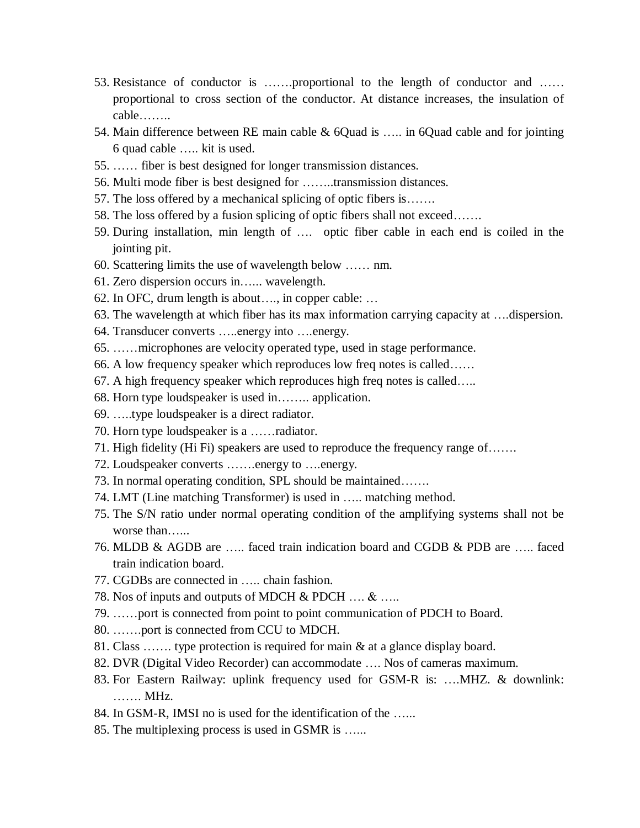- 53. Resistance of conductor is …….proportional to the length of conductor and …… proportional to cross section of the conductor. At distance increases, the insulation of cable……..
- 54. Main difference between RE main cable & 6Quad is ….. in 6Quad cable and for jointing 6 quad cable ….. kit is used.
- 55. …… fiber is best designed for longer transmission distances.
- 56. Multi mode fiber is best designed for ……..transmission distances.
- 57. The loss offered by a mechanical splicing of optic fibers is…….
- 58. The loss offered by a fusion splicing of optic fibers shall not exceed…….
- 59. During installation, min length of …. optic fiber cable in each end is coiled in the jointing pit.
- 60. Scattering limits the use of wavelength below …… nm.
- 61. Zero dispersion occurs in…... wavelength.
- 62. In OFC, drum length is about…., in copper cable: …
- 63. The wavelength at which fiber has its max information carrying capacity at ….dispersion.
- 64. Transducer converts …..energy into ….energy.
- 65. ……microphones are velocity operated type, used in stage performance.
- 66. A low frequency speaker which reproduces low freq notes is called……
- 67. A high frequency speaker which reproduces high freq notes is called…..
- 68. Horn type loudspeaker is used in…….. application.
- 69. …..type loudspeaker is a direct radiator.
- 70. Horn type loudspeaker is a ……radiator.
- 71. High fidelity (Hi Fi) speakers are used to reproduce the frequency range of…….
- 72. Loudspeaker converts …….energy to ….energy.
- 73. In normal operating condition, SPL should be maintained…….
- 74. LMT (Line matching Transformer) is used in ….. matching method.
- 75. The S/N ratio under normal operating condition of the amplifying systems shall not be worse than…...
- 76. MLDB & AGDB are ….. faced train indication board and CGDB & PDB are ….. faced train indication board.
- 77. CGDBs are connected in ….. chain fashion.
- 78. Nos of inputs and outputs of MDCH & PDCH …. & …..
- 79. ……port is connected from point to point communication of PDCH to Board.
- 80. …….port is connected from CCU to MDCH.
- 81. Class ……. type protection is required for main & at a glance display board.
- 82. DVR (Digital Video Recorder) can accommodate …. Nos of cameras maximum.
- 83. For Eastern Railway: uplink frequency used for GSM-R is: ….MHZ. & downlink: ……. MHz.
- 84. In GSM-R, IMSI no is used for the identification of the …...
- 85. The multiplexing process is used in GSMR is …...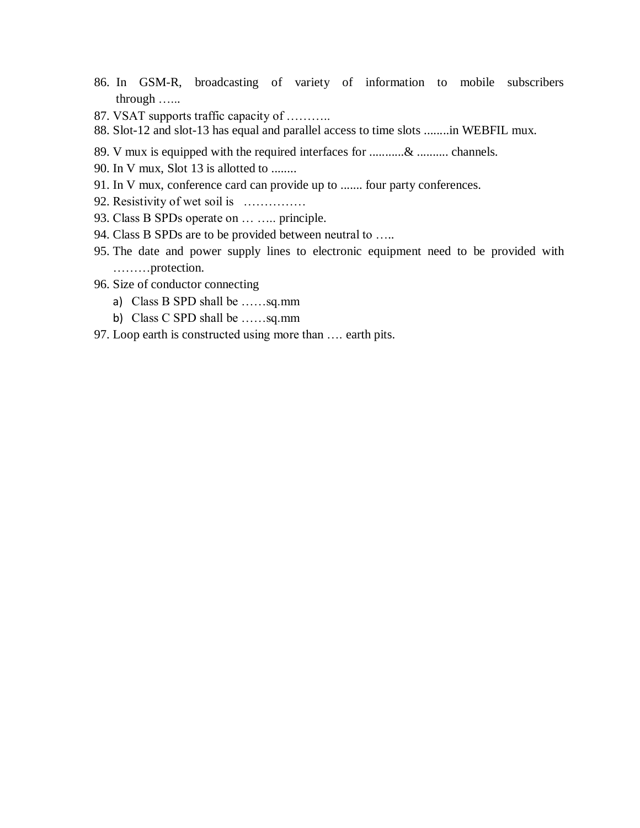- 86. In GSM-R, broadcasting of variety of information to mobile subscribers through …...
- 87. VSAT supports traffic capacity of ………..
- 88. Slot-12 and slot-13 has equal and parallel access to time slots ........in WEBFIL mux.
- 89. V mux is equipped with the required interfaces for ...........& .......... channels.
- 90. In V mux, Slot 13 is allotted to ........
- 91. In V mux, conference card can provide up to ....... four party conferences.
- 92. Resistivity of wet soil is ……………
- 93. Class B SPDs operate on ... ..... principle.
- 94. Class B SPDs are to be provided between neutral to …..
- 95. The date and power supply lines to electronic equipment need to be provided with ………protection.
- 96. Size of conductor connecting
	- a) Class B SPD shall be ……sq.mm
	- b) Class C SPD shall be ……sq.mm
- 97. Loop earth is constructed using more than …. earth pits.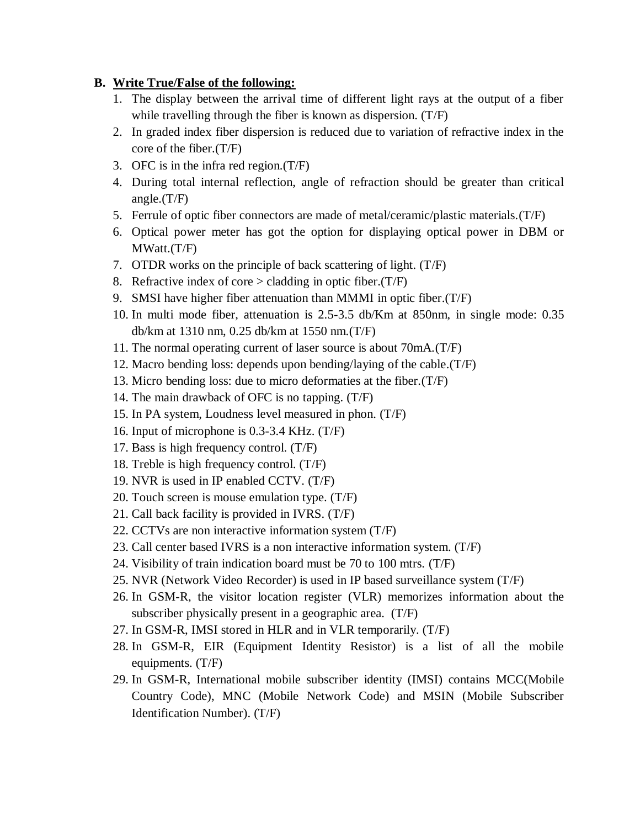#### **B. Write True/False of the following:**

- 1. The display between the arrival time of different light rays at the output of a fiber while travelling through the fiber is known as dispersion. (T/F)
- 2. In graded index fiber dispersion is reduced due to variation of refractive index in the core of the fiber.(T/F)
- 3. OFC is in the infra red region.(T/F)
- 4. During total internal reflection, angle of refraction should be greater than critical angle.(T/F)
- 5. Ferrule of optic fiber connectors are made of metal/ceramic/plastic materials.(T/F)
- 6. Optical power meter has got the option for displaying optical power in DBM or MWatt.(T/F)
- 7. OTDR works on the principle of back scattering of light. (T/F)
- 8. Refractive index of core  $>$  cladding in optic fiber.(T/F)
- 9. SMSI have higher fiber attenuation than MMMI in optic fiber.(T/F)
- 10. In multi mode fiber, attenuation is 2.5-3.5 db/Km at 850nm, in single mode: 0.35 db/km at 1310 nm, 0.25 db/km at 1550 nm.(T/F)
- 11. The normal operating current of laser source is about 70mA.(T/F)
- 12. Macro bending loss: depends upon bending/laying of the cable.(T/F)
- 13. Micro bending loss: due to micro deformaties at the fiber.(T/F)
- 14. The main drawback of OFC is no tapping. (T/F)
- 15. In PA system, Loudness level measured in phon. (T/F)
- 16. Input of microphone is 0.3-3.4 KHz. (T/F)
- 17. Bass is high frequency control. (T/F)
- 18. Treble is high frequency control. (T/F)
- 19. NVR is used in IP enabled CCTV. (T/F)
- 20. Touch screen is mouse emulation type. (T/F)
- 21. Call back facility is provided in IVRS. (T/F)
- 22. CCTVs are non interactive information system (T/F)
- 23. Call center based IVRS is a non interactive information system. (T/F)
- 24. Visibility of train indication board must be 70 to 100 mtrs. (T/F)
- 25. NVR (Network Video Recorder) is used in IP based surveillance system (T/F)
- 26. In GSM-R, the visitor location register (VLR) memorizes information about the subscriber physically present in a geographic area. (T/F)
- 27. In GSM-R, IMSI stored in HLR and in VLR temporarily. (T/F)
- 28. In GSM-R, EIR (Equipment Identity Resistor) is a list of all the mobile equipments. (T/F)
- 29. In GSM-R, International mobile subscriber identity (IMSI) contains MCC(Mobile Country Code), MNC (Mobile Network Code) and MSIN (Mobile Subscriber Identification Number). (T/F)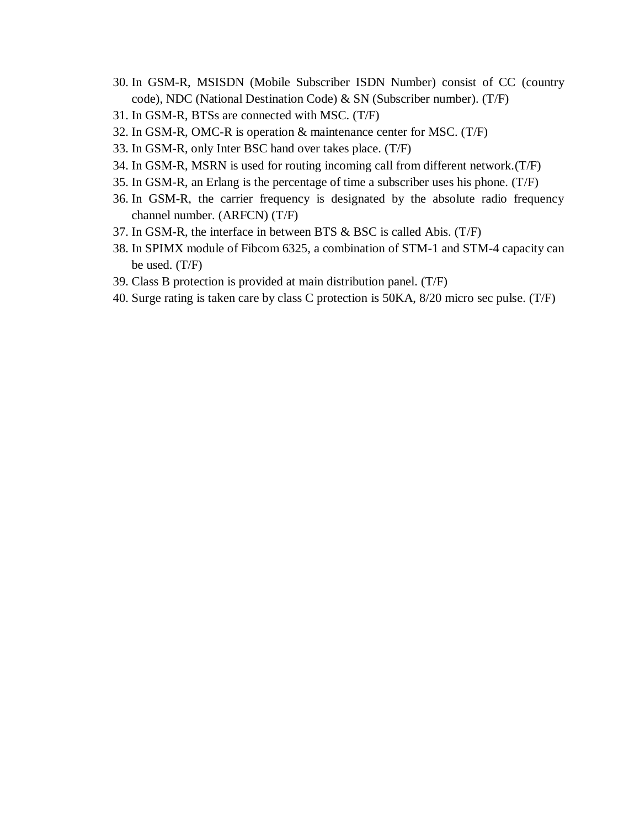- 30. In GSM-R, MSISDN (Mobile Subscriber ISDN Number) consist of CC (country code), NDC (National Destination Code) & SN (Subscriber number). (T/F)
- 31. In GSM-R, BTSs are connected with MSC. (T/F)
- 32. In GSM-R, OMC-R is operation & maintenance center for MSC. (T/F)
- 33. In GSM-R, only Inter BSC hand over takes place. (T/F)
- 34. In GSM-R, MSRN is used for routing incoming call from different network.(T/F)
- 35. In GSM-R, an Erlang is the percentage of time a subscriber uses his phone. (T/F)
- 36. In GSM-R, the carrier frequency is designated by the absolute radio frequency channel number. (ARFCN) (T/F)
- 37. In GSM-R, the interface in between BTS & BSC is called Abis. (T/F)
- 38. In SPIMX module of Fibcom 6325, a combination of STM-1 and STM-4 capacity can be used. (T/F)
- 39. Class B protection is provided at main distribution panel. (T/F)
- 40. Surge rating is taken care by class C protection is 50KA, 8/20 micro sec pulse. (T/F)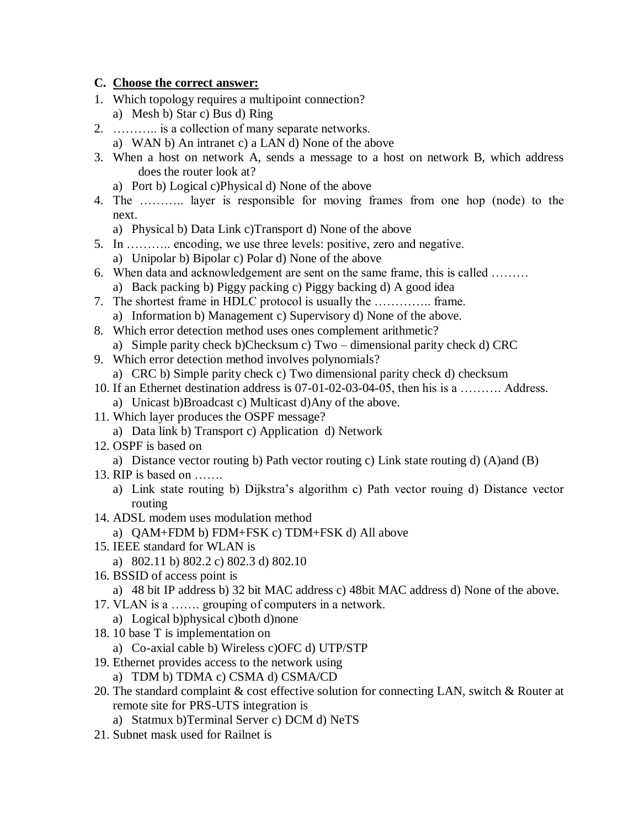### **C. Choose the correct answer:**

- 1. Which topology requires a multipoint connection?
	- a) Mesh b) Star c) Bus d) Ring
- 2. ……….. is a collection of many separate networks.
	- a) WAN b) An intranet c) a LAN d) None of the above
- 3. When a host on network A, sends a message to a host on network B, which address does the router look at?
	- a) Port b) Logical c)Physical d) None of the above
- 4. The ……….. layer is responsible for moving frames from one hop (node) to the next.
	- a) Physical b) Data Link c)Transport d) None of the above
- 5. In ……….. encoding, we use three levels: positive, zero and negative. a) Unipolar b) Bipolar c) Polar d) None of the above
- 6. When data and acknowledgement are sent on the same frame, this is called ……… a) Back packing b) Piggy packing c) Piggy backing d) A good idea
- 7. The shortest frame in HDLC protocol is usually the ………….. frame.
	- a) Information b) Management c) Supervisory d) None of the above.
- 8. Which error detection method uses ones complement arithmetic? a) Simple parity check b)Checksum c) Two – dimensional parity check d) CRC
- 9. Which error detection method involves polynomials?
	- a) CRC b) Simple parity check c) Two dimensional parity check d) checksum
- 10. If an Ethernet destination address is 07-01-02-03-04-05, then his is a ………. Address. a) Unicast b)Broadcast c) Multicast d)Any of the above.
- 11. Which layer produces the OSPF message?
	- a) Data link b) Transport c) Application d) Network
- 12. OSPF is based on
	- a) Distance vector routing b) Path vector routing c) Link state routing d) (A)and (B)
- 13. RIP is based on …….
	- a) Link state routing b) Dijkstra's algorithm c) Path vector rouing d) Distance vector routing
- 14. ADSL modem uses modulation method
- a) QAM+FDM b) FDM+FSK c) TDM+FSK d) All above
- 15. IEEE standard for WLAN is
	- a) 802.11 b) 802.2 c) 802.3 d) 802.10
- 16. BSSID of access point is
	- a) 48 bit IP address b) 32 bit MAC address c) 48bit MAC address d) None of the above.
- 17. VLAN is a ……. grouping of computers in a network.
- a) Logical b)physical c)both d)none
- 18. 10 base T is implementation on
	- a) Co-axial cable b) Wireless c)OFC d) UTP/STP
- 19. Ethernet provides access to the network using
	- a) TDM b) TDMA c) CSMA d) CSMA/CD
- 20. The standard complaint & cost effective solution for connecting LAN, switch & Router at remote site for PRS-UTS integration is
	- a) Statmux b)Terminal Server c) DCM d) NeTS
- 21. Subnet mask used for Railnet is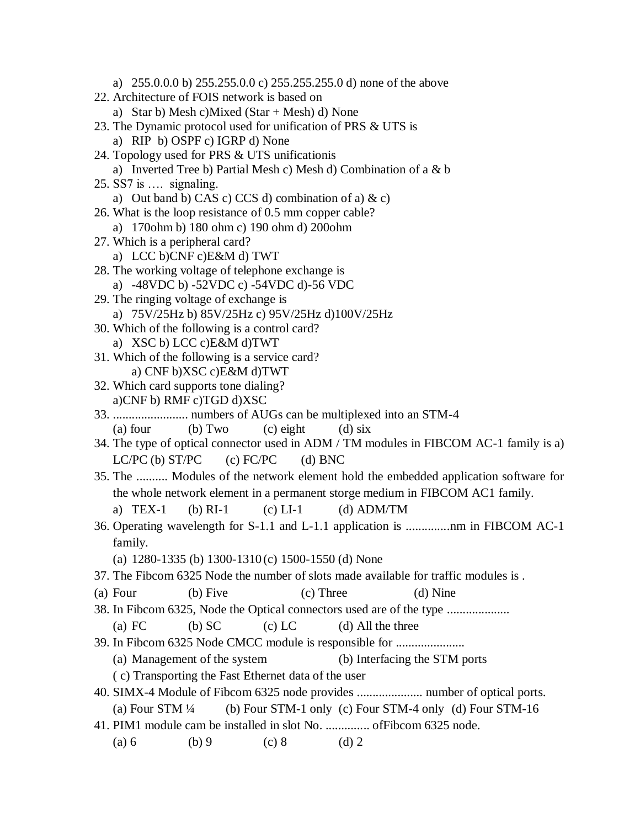a) 255.0.0.0 b) 255.255.0.0 c) 255.255.255.0 d) none of the above 22. Architecture of FOIS network is based on a) Star b) Mesh c)Mixed (Star + Mesh) d) None 23. The Dynamic protocol used for unification of PRS & UTS is a) RIP b) OSPF c) IGRP d) None 24. Topology used for PRS & UTS unificationis a) Inverted Tree b) Partial Mesh c) Mesh d) Combination of a & b 25. SS7 is …. signaling. a) Out band b) CAS c) CCS d) combination of a)  $\&c)$ 26. What is the loop resistance of 0.5 mm copper cable? a) 170ohm b) 180 ohm c) 190 ohm d) 200ohm 27. Which is a peripheral card? a) LCC b)CNF c)E&M d) TWT 28. The working voltage of telephone exchange is a) -48VDC b) -52VDC c) -54VDC d)-56 VDC 29. The ringing voltage of exchange is a) 75V/25Hz b) 85V/25Hz c) 95V/25Hz d)100V/25Hz 30. Which of the following is a control card? a) XSC b) LCC c)E&M d)TWT 31. Which of the following is a service card? a) CNF b)XSC c)E&M d)TWT 32. Which card supports tone dialing? a)CNF b) RMF c)TGD d)XSC 33. ........................ numbers of AUGs can be multiplexed into an STM-4 (a) four (b) Two (c) eight (d) six 34. The type of optical connector used in ADM / TM modules in FIBCOM AC-1 family is a) LC/PC (b)  $ST/PC$  (c)  $FC/PC$  (d) BNC 35. The .......... Modules of the network element hold the embedded application software for the whole network element in a permanent storge medium in FIBCOM AC1 family. a)  $TEX-1$  (b)  $RI-1$  (c)  $LI-1$  (d)  $ADM/TM$ 36. Operating wavelength for S-1.1 and L-1.1 application is ..............nm in FIBCOM AC-1 family. (a) 1280-1335 (b) 1300-1310 (c) 1500-1550 (d) None 37. The Fibcom 6325 Node the number of slots made available for traffic modules is . (a) Four (b) Five (c) Three (d) Nine 38. In Fibcom 6325, Node the Optical connectors used are of the type .................... (a) FC (b) SC (c) LC (d) All the three 39. In Fibcom 6325 Node CMCC module is responsible for ...................... (a) Management of the system (b) Interfacing the STM ports ( c) Transporting the Fast Ethernet data of the user 40. SIMX-4 Module of Fibcom 6325 node provides ..................... number of optical ports. (a) Four STM  $\frac{1}{4}$  (b) Four STM-1 only (c) Four STM-4 only (d) Four STM-16 41. PIM1 module cam be installed in slot No. .............. ofFibcom 6325 node. (a) 6 (b) 9 (c) 8 (d) 2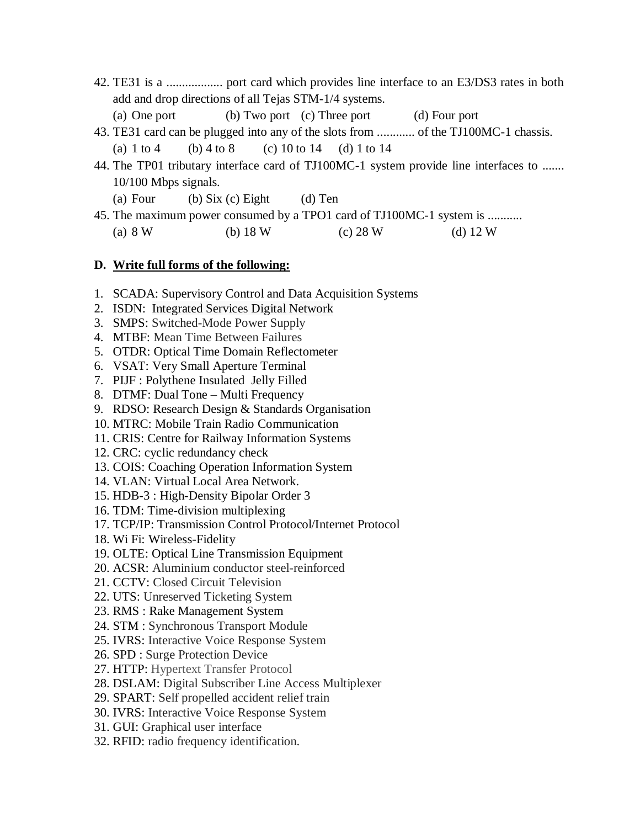- 42. TE31 is a .................. port card which provides line interface to an E3/DS3 rates in both add and drop directions of all Tejas STM-1/4 systems.
	- (a) One port (b) Two port (c) Three port (d) Four port
- 43. TE31 card can be plugged into any of the slots from ............ of the TJ100MC-1 chassis.
- (a)  $1 \text{ to } 4$  (b)  $4 \text{ to } 8$  (c)  $10 \text{ to } 14$  (d)  $1 \text{ to } 14$
- 44. The TP01 tributary interface card of TJ100MC-1 system provide line interfaces to ....... 10/100 Mbps signals.
	- (a) Four (b) Six (c) Eight (d) Ten
- 45. The maximum power consumed by a TPO1 card of TJ100MC-1 system is ........... (a) 8 W (b) 18 W (c) 28 W (d) 12 W

#### **D. Write full forms of the following:**

- 1. SCADA: Supervisory Control and Data Acquisition Systems
- 2. ISDN: Integrated Services Digital Network
- 3. SMPS: Switched-Mode Power Supply
- 4. MTBF: Mean Time Between Failures
- 5. OTDR: Optical Time Domain Reflectometer
- 6. VSAT: Very Small Aperture Terminal
- 7. PIJF : Polythene Insulated Jelly Filled
- 8. DTMF: Dual Tone Multi Frequency
- 9. RDSO: Research Design & Standards Organisation
- 10. MTRC: Mobile Train Radio Communication
- 11. CRIS: Centre for Railway Information Systems
- 12. CRC: cyclic redundancy check
- 13. COIS: Coaching Operation Information System
- 14. VLAN: Virtual Local Area Network.
- 15. HDB-3 : High-Density Bipolar Order 3
- 16. TDM: Time-division multiplexing
- 17. TCP/IP: Transmission Control Protocol/Internet Protocol
- 18. Wi Fi: Wireless-Fidelity
- 19. OLTE: Optical Line Transmission Equipment
- 20. ACSR: Aluminium conductor steel-reinforced
- 21. CCTV: Closed Circuit Television
- 22. UTS: Unreserved Ticketing System
- 23. RMS : Rake Management System
- 24. STM : Synchronous Transport Module
- 25. IVRS: Interactive Voice Response System
- 26. SPD : Surge Protection Device
- 27. HTTP: Hypertext Transfer Protocol
- 28. DSLAM: Digital Subscriber Line Access Multiplexer
- 29. SPART: Self propelled accident relief train
- 30. IVRS: Interactive Voice Response System
- 31. GUI: Graphical user interface
- 32. RFID: radio frequency identification.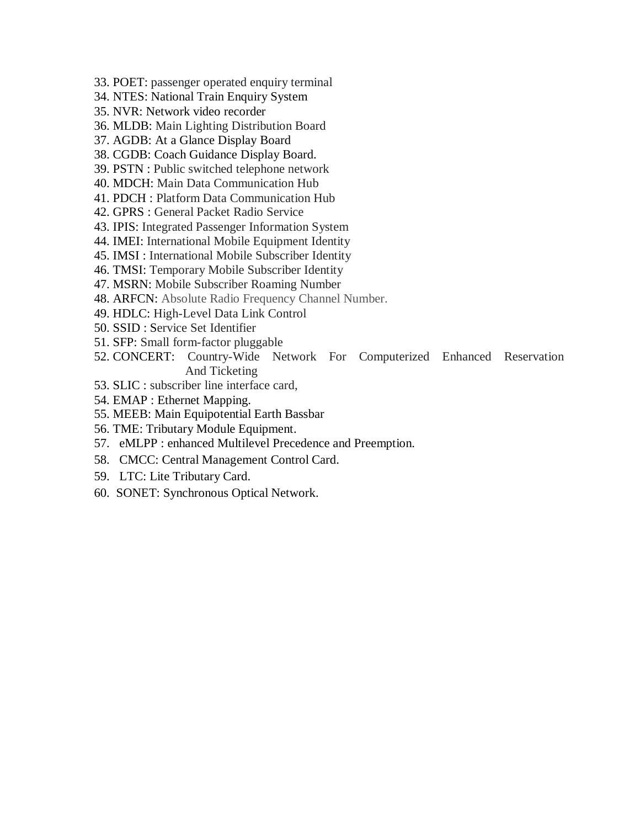- 33. POET: passenger operated enquiry terminal
- 34. NTES: National Train Enquiry System
- 35. NVR: Network video recorder
- 36. MLDB: Main Lighting Distribution Board
- 37. AGDB: At a Glance Display Board
- 38. CGDB: Coach Guidance Display Board.
- 39. PSTN : Public switched telephone network
- 40. MDCH: Main Data Communication Hub
- 41. PDCH : Platform Data Communication Hub
- 42. GPRS : General Packet Radio Service
- 43. IPIS: Integrated Passenger Information System
- 44. IMEI: International Mobile Equipment Identity
- 45. IMSI : International Mobile Subscriber Identity
- 46. TMSI: Temporary Mobile Subscriber Identity
- 47. MSRN: Mobile Subscriber Roaming Number
- 48. ARFCN: Absolute Radio Frequency Channel Number.
- 49. HDLC: High-Level Data Link Control
- 50. SSID : Service Set Identifier
- 51. SFP: Small form-factor pluggable
- 52. CONCERT: Country-Wide Network For Computerized Enhanced Reservation And Ticketing
- 53. SLIC : subscriber line interface card,
- 54. EMAP : Ethernet Mapping.
- 55. MEEB: Main Equipotential Earth Bassbar
- 56. TME: Tributary Module Equipment.
- 57. eMLPP : enhanced Multilevel Precedence and Preemption.
- 58. CMCC: Central Management Control Card.
- 59. LTC: Lite Tributary Card.
- 60. SONET: Synchronous Optical Network.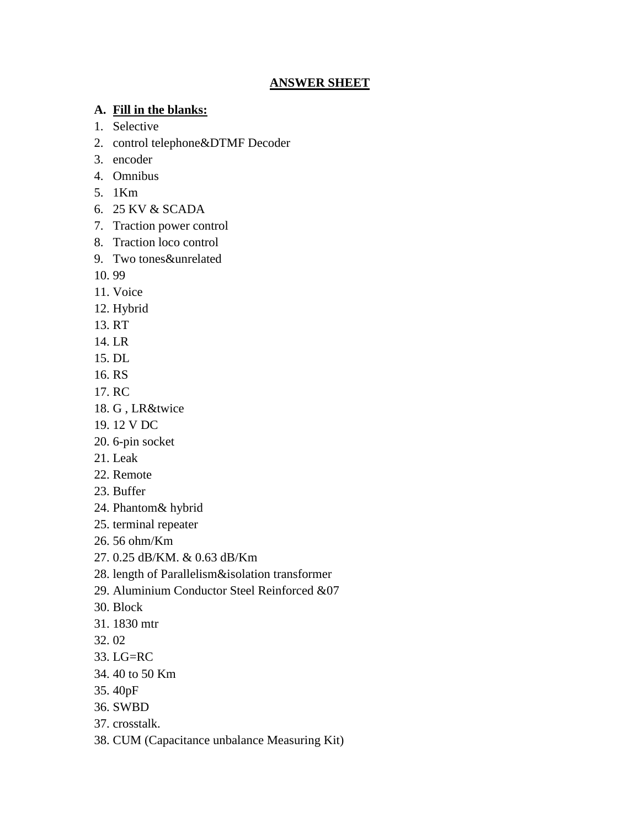## **ANSWER SHEET**

# **A. Fill in the blanks:**

- 1. Selective
- 2. control telephone&DTMF Decoder
- 3. encoder
- 4. Omnibus
- 5. 1Km
- 6. 25 KV & SCADA
- 7. Traction power control
- 8. Traction loco control
- 9. Two tones&unrelated
- 10. 99
- 11. Voice
- 12. Hybrid
- 13. RT
- 14. LR
- 15. DL
- 16. RS
- 17. RC
- 18. G , LR&twice
- 19. 12 V DC
- 20. 6-pin socket
- 21. Leak
- 22. Remote
- 23. Buffer
- 24. Phantom& hybrid
- 25. terminal repeater
- 26. 56 ohm/Km
- 27. 0.25 dB/KM. & 0.63 dB/Km
- 28. length of Parallelism&isolation transformer
- 29. Aluminium Conductor Steel Reinforced &07
- 30. Block
- 31. 1830 mtr
- 32. 02
- 33. LG=RC
- 34. 40 to 50 Km
- 35. 40pF
- 36. SWBD
- 37. crosstalk.
- 38. CUM (Capacitance unbalance Measuring Kit)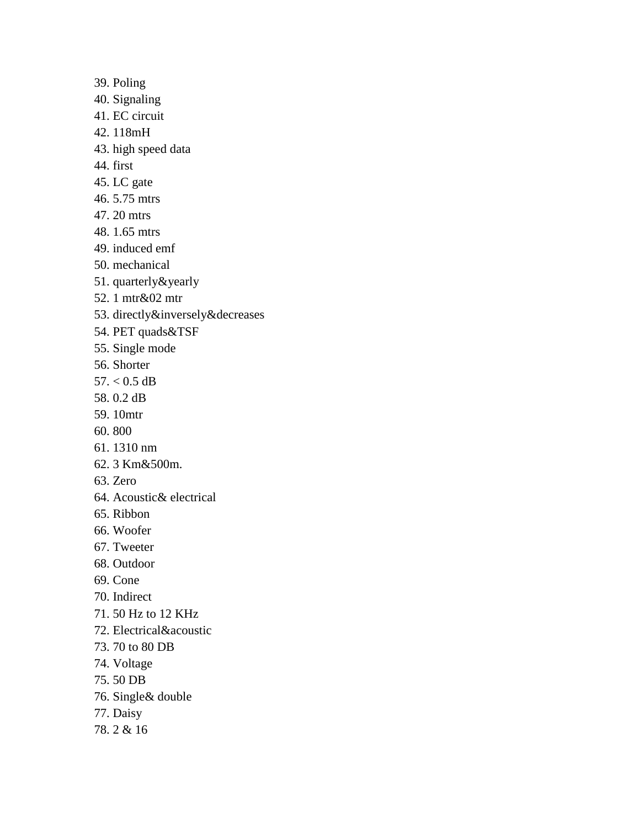- 39. Poling
- 40. Signaling
- 41. EC circuit
- 42. 118mH
- 43. high speed data
- 44. first
- 45. LC gate
- 46. 5.75 mtrs
- 47. 20 mtrs
- 48. 1.65 mtrs
- 49. induced emf
- 50. mechanical
- 51. quarterly&yearly
- 52. 1 mtr&02 mtr
- 53. directly&inversely&decreases
- 54. PET quads&TSF
- 55. Single mode
- 56. Shorter
- $57. < 0.5$  dB
- 58. 0.2 dB
- 59. 10mtr
- 60. 800
- 61. 1310 nm
- 62. 3 Km&500m.
- 63. Zero
- 64. Acoustic& electrical
- 65. Ribbon
- 66. Woofer
- 67. Tweeter
- 68. Outdoor
- 69. Cone
- 70. Indirect
- 71. 50 Hz to 12 KHz
- 72. Electrical&acoustic
- 73. 70 to 80 DB
- 74. Voltage
- 75. 50 DB
- 76. Single& double
- 77. Daisy
- 78. 2 & 16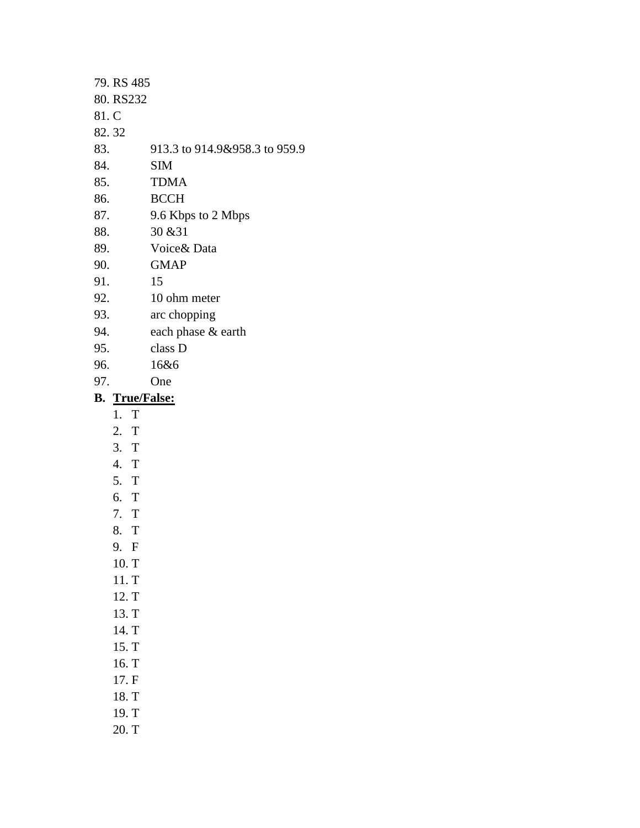- 79. RS 485 80. RS232 81. C 82. 32 83. 913.3 to 914.9&958.3 to 959.9 84. SIM 85. TDMA 86. BCCH 87. 9.6 Kbps to 2 Mbps 88. 30 &31
- 89. Voice& Data
- 90. GMAP
- 91. 15
- 92. 10 ohm meter
- 93. arc chopping
- 94. each phase & earth
- 95. class D
- 96. 16&6
- 97. One

# **B. True/False:**

- 1. T
- 2. T
- 3. T
- 4. T
- 5. T
- 6. T
- 7. T
- 8. T
- 9. F
- 10. T
- 11. T
- 12. T
- 13. T
- 14. T
- 15. T
- 16. T
- 17. F
- 18. T
- 19. T
- 
- 20. T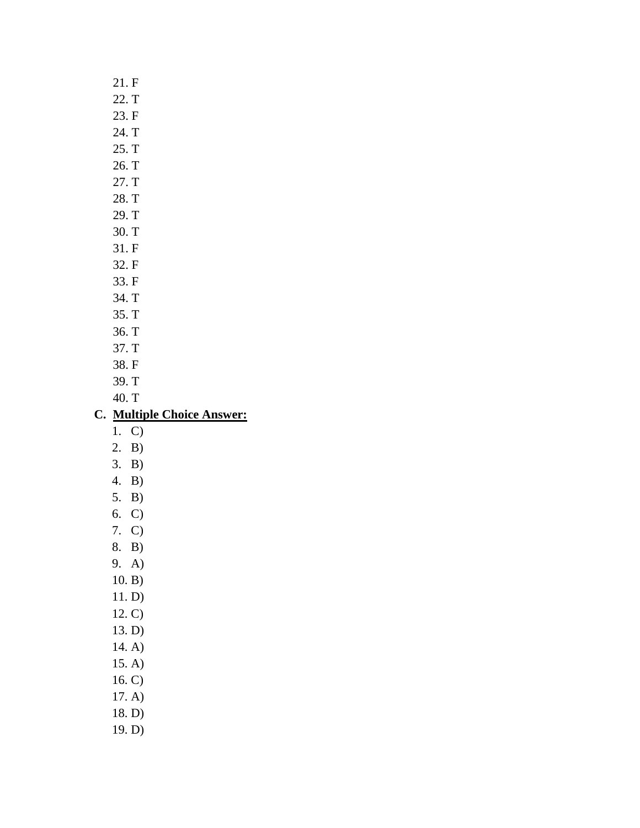# 22. T 23. F 24. T 25. T 26. T 27. T 28. T 29. T 30. T 31. F 32. F 33. F 34. T 35. T 36. T 37. T 38. F 39. T 40. T **C. Multiple Choice Answer:** 1. C) 2. B) 3. B) 4. B)

21. F

6. C) 7. C)

5. B)

- 8. B)
- 9. A)
- 10. B)
- 11. D)
- 12. C)
- 13. D)
- 14. A)
- 15. A)
- 16. C)
- 17. A)
- 18. D)
- 19. D)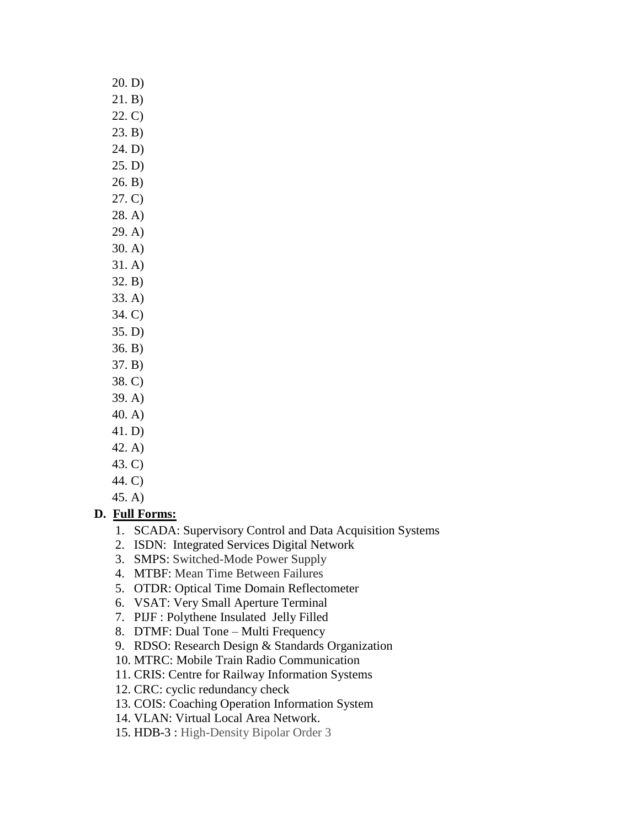21. B) 22. C) 23. B) 24. D) 25. D) 26. B) 27. C)

20. D)

- 28. A)
- 29. A)
- 30. A)
- 31. A)
- 32. B)
- 33. A)
- 34. C)
- 35. D)
- 36. B)
- 37. B)
- 38. C)
- 39. A)
- 40. A)
- 41. D)
- 42. A)
- 43. C) 44. C)

45. A)

# **D. Full Forms:**

- 1. SCADA: Supervisory Control and Data Acquisition Systems
- 2. ISDN: Integrated Services Digital Network
- 3. SMPS: Switched-Mode Power Supply
- 4. MTBF: Mean Time Between Failures
- 5. OTDR: Optical Time Domain Reflectometer
- 6. VSAT: Very Small Aperture Terminal
- 7. PIJF : Polythene Insulated Jelly Filled
- 8. DTMF: Dual Tone Multi Frequency
- 9. RDSO: Research Design & Standards Organization
- 10. MTRC: Mobile Train Radio Communication
- 11. CRIS: Centre for Railway Information Systems
- 12. CRC: cyclic redundancy check
- 13. COIS: Coaching Operation Information System
- 14. VLAN: Virtual Local Area Network.
- 15. HDB-3 : High-Density Bipolar Order 3